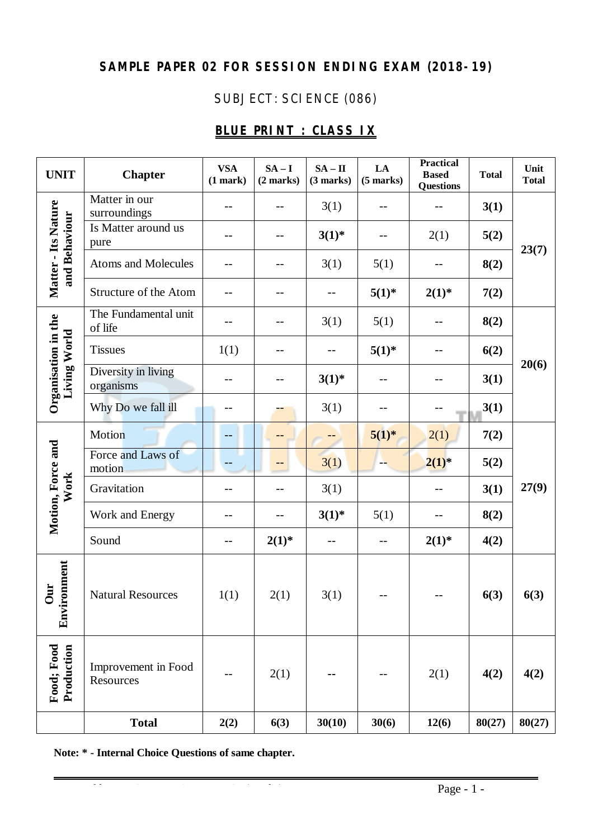# **SAMPLE PAPER 02 FOR SESSION ENDING EXAM (2018-19)**

# SUBJECT: SCIENCE (086)

# **BLUE PRINT : CLASS IX**

| <b>UNIT</b>                          | <b>Chapter</b>                   | <b>VSA</b><br>(1 mark) | $SA - I$<br>(2 marks) | $SA - II$<br>(3 marks) | LA<br>$(5$ marks) | <b>Practical</b><br><b>Based</b><br><b>Questions</b> | <b>Total</b> | Unit<br><b>Total</b> |
|--------------------------------------|----------------------------------|------------------------|-----------------------|------------------------|-------------------|------------------------------------------------------|--------------|----------------------|
| Matter - Its Nature<br>and Behaviour | Matter in our<br>surroundings    |                        | --                    | 3(1)                   | --                |                                                      | 3(1)         | 23(7)                |
|                                      | Is Matter around us<br>pure      |                        | --                    | $3(1)^{*}$             |                   | 2(1)                                                 | 5(2)         |                      |
|                                      | <b>Atoms and Molecules</b>       | --                     | $- -$                 | 3(1)                   | 5(1)              |                                                      | 8(2)         |                      |
|                                      | Structure of the Atom            |                        | --                    |                        | $5(1)^{*}$        | $2(1)^{*}$                                           | 7(2)         |                      |
| Organisation in the<br>Living World  | The Fundamental unit<br>of life  |                        | --                    | 3(1)                   | 5(1)              |                                                      | 8(2)         | 20(6)                |
|                                      | <b>Tissues</b>                   | 1(1)                   | $-$                   |                        | $5(1)^{*}$        |                                                      | 6(2)         |                      |
|                                      | Diversity in living<br>organisms |                        | --                    | $3(1)^{*}$             | $-$               | --                                                   | 3(1)         |                      |
|                                      | Why Do we fall ill               | $ -$                   |                       | 3(1)                   |                   |                                                      | 3(1)         |                      |
| Motion, Force and<br>Work            | Motion                           | $--$                   | --                    |                        | $5(1)^{*}$        | 2(1)                                                 | 7(2)         | 27(9)                |
|                                      | Force and Laws of<br>motion      |                        | --                    | 3(1)                   | --                | $2(1)^{*}$                                           | 5(2)         |                      |
|                                      | Gravitation                      | --                     | --                    | 3(1)                   |                   |                                                      | 3(1)         |                      |
|                                      | Work and Energy                  |                        | --                    | $3(1)^{*}$             | 5(1)              |                                                      | 8(2)         |                      |
|                                      | Sound                            | $-$                    | $2(1)^{*}$            | $-$                    | $-$               | $2(1)^{*}$                                           | 4(2)         |                      |
| onment<br>Our<br>Envir               | <b>Natural Resources</b>         | 1(1)                   | 2(1)                  | 3(1)                   |                   |                                                      | 6(3)         | 6(3)                 |
| Food; Food<br>Production             | Improvement in Food<br>Resources |                        | 2(1)                  |                        |                   | 2(1)                                                 | 4(2)         | 4(2)                 |
|                                      | <b>Total</b>                     | 2(2)                   | 6(3)                  | 30(10)                 | 30(6)             | 12(6)                                                | 80(27)       | 80(27)               |

**Note: \* - Internal Choice Questions of same chapter.**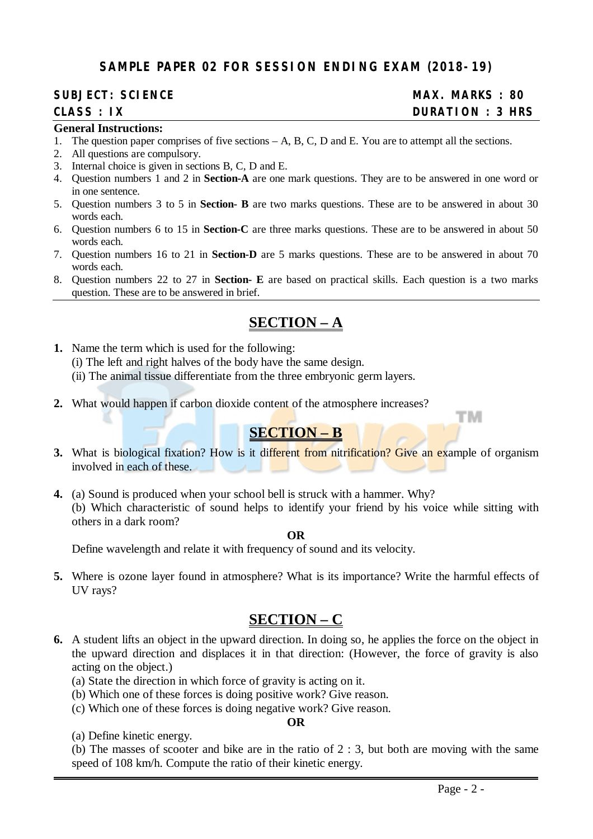#### **SAMPLE PAPER 02 FOR SESSION ENDING EXAM (2018-19)**

#### **SUBJECT: SCIENCE MAX. MARKS : 80**

# **CLASS : IX DURATION : 3 HRS**

тм

#### **General Instructions:**

- 1. The question paper comprises of five sections A, B, C, D and E. You are to attempt all the sections.
- 2. All questions are compulsory.
- 3. Internal choice is given in sections B, C, D and E.
- 4. Question numbers 1 and 2 in **Section-A** are one mark questions. They are to be answered in one word or in one sentence.
- 5. Question numbers 3 to 5 in **Section- B** are two marks questions. These are to be answered in about 30 words each.
- 6. Question numbers 6 to 15 in **Section-C** are three marks questions. These are to be answered in about 50 words each.
- 7. Question numbers 16 to 21 in **Section-D** are 5 marks questions. These are to be answered in about 70 words each.
- 8. Question numbers 22 to 27 in **Section- E** are based on practical skills. Each question is a two marks question. These are to be answered in brief.

# **SECTION – A**

- **1.** Name the term which is used for the following:
	- (i) The left and right halves of the body have the same design.
	- (ii) The animal tissue differentiate from the three embryonic germ layers.
- **2.** What would happen if carbon dioxide content of the atmosphere increases?

# **SECTION – B**

- **3.** What is biological fixation? How is it different from nitrification? Give an example of organism involved in each of these.
- **4.** (a) Sound is produced when your school bell is struck with a hammer. Why? (b) Which characteristic of sound helps to identify your friend by his voice while sitting with others in a dark room?

#### **OR**

Define wavelength and relate it with frequency of sound and its velocity.

**5.** Where is ozone layer found in atmosphere? What is its importance? Write the harmful effects of UV rays?

# **SECTION – C**

- **6.** A student lifts an object in the upward direction. In doing so, he applies the force on the object in the upward direction and displaces it in that direction: (However, the force of gravity is also acting on the object.)
	- (a) State the direction in which force of gravity is acting on it.
	- (b) Which one of these forces is doing positive work? Give reason.
	- (c) Which one of these forces is doing negative work? Give reason.

#### **OR**

(a) Define kinetic energy.

(b) The masses of scooter and bike are in the ratio of 2 : 3, but both are moving with the same speed of 108 km/h. Compute the ratio of their kinetic energy.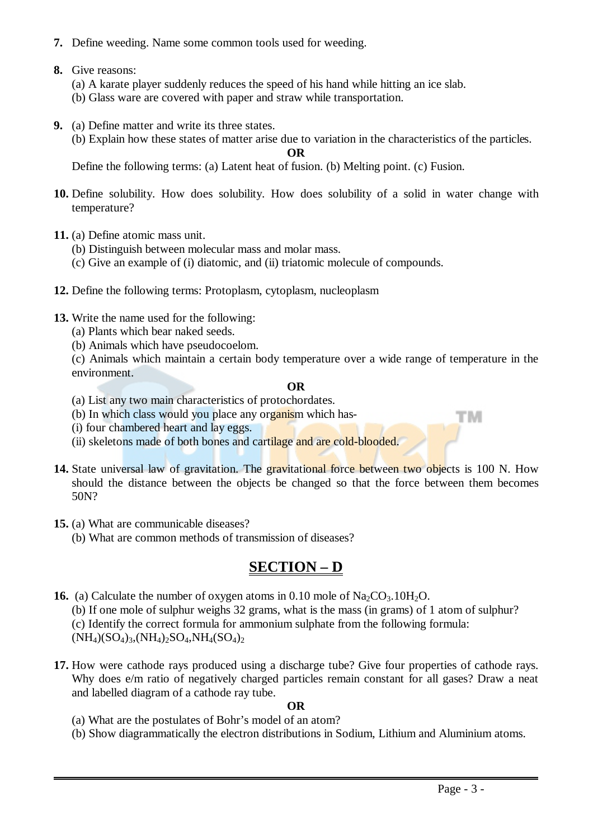- **7.** Define weeding. Name some common tools used for weeding.
- **8.** Give reasons:
	- (a) A karate player suddenly reduces the speed of his hand while hitting an ice slab.
	- (b) Glass ware are covered with paper and straw while transportation.
- **9.** (a) Define matter and write its three states.
	- (b) Explain how these states of matter arise due to variation in the characteristics of the particles.

**OR**

Define the following terms: (a) Latent heat of fusion. (b) Melting point. (c) Fusion.

- **10.** Define solubility. How does solubility. How does solubility of a solid in water change with temperature?
- **11.** (a) Define atomic mass unit.
	- (b) Distinguish between molecular mass and molar mass.
	- (c) Give an example of (i) diatomic, and (ii) triatomic molecule of compounds.
- **12.** Define the following terms: Protoplasm, cytoplasm, nucleoplasm
- **13.** Write the name used for the following:
	- (a) Plants which bear naked seeds.
	- (b) Animals which have pseudocoelom.

(c) Animals which maintain a certain body temperature over a wide range of temperature in the environment.

#### **OR**

- (a) List any two main characteristics of protochordates.
- (b) In which class would you place any organism which has-
- (i) four chambered heart and lay eggs.
- (ii) skeletons made of both bones and cartilage and are cold-blooded.
- 14. State universal law of gravitation. The gravitational force between two objects is 100 N. How should the distance between the objects be changed so that the force between them becomes 50N?
- **15.** (a) What are communicable diseases?
	- (b) What are common methods of transmission of diseases?

# **SECTION – D**

**16.** (a) Calculate the number of oxygen atoms in  $0.10$  mole of  $\text{Na}_2\text{CO}_3.10\text{H}_2\text{O}$ .

(b) If one mole of sulphur weighs 32 grams, what is the mass (in grams) of 1 atom of sulphur?

(c) Identify the correct formula for ammonium sulphate from the following formula:

 $(NH_4)(SO_4)_3$ ,  $(NH_4)_2SO_4$ ,  $NH_4(SO_4)_2$ 

**17.** How were cathode rays produced using a discharge tube? Give four properties of cathode rays. Why does  $e/m$  ratio of negatively charged particles remain constant for all gases? Draw a neat and labelled diagram of a cathode ray tube.

#### **OR**

- (a) What are the postulates of Bohr's model of an atom?
- (b) Show diagrammatically the electron distributions in Sodium, Lithium and Aluminium atoms.

тм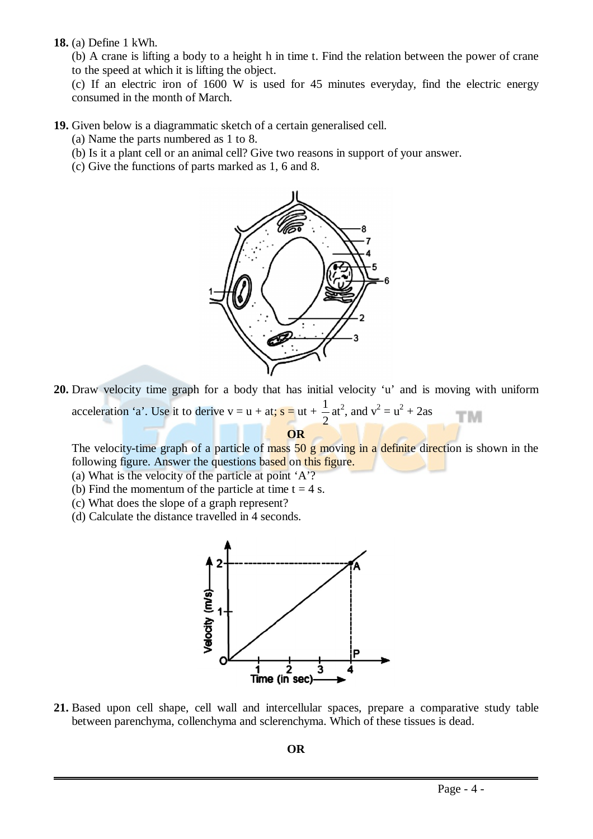**18.** (a) Define 1 kWh.

(b) A crane is lifting a body to a height h in time t. Find the relation between the power of crane to the speed at which it is lifting the object.

(c) If an electric iron of 1600 W is used for 45 minutes everyday, find the electric energy consumed in the month of March.

**19.** Given below is a diagrammatic sketch of a certain generalised cell.

(a) Name the parts numbered as 1 to 8.

- (b) Is it a plant cell or an animal cell? Give two reasons in support of your answer.
- (c) Give the functions of parts marked as 1, 6 and 8.



**20.** Draw velocity time graph for a body that has initial velocity 'u' and is moving with uniform acceleration 'a'. Use it to derive  $v = u + at$ ;  $s = ut + \frac{1}{2}$ at<sup>2</sup>, and  $v^2 = u^2 + 2as$ TМ 2

**OR**

The velocity-time graph of a particle of mass 50 g moving in a definite direction is shown in the following figure. Answer the questions based on this figure.

- (a) What is the velocity of the particle at point 'A'?
- (b) Find the momentum of the particle at time  $t = 4$  s.
- (c) What does the slope of a graph represent?
- (d) Calculate the distance travelled in 4 seconds.



**21.** Based upon cell shape, cell wall and intercellular spaces, prepare a comparative study table between parenchyma, collenchyma and sclerenchyma. Which of these tissues is dead.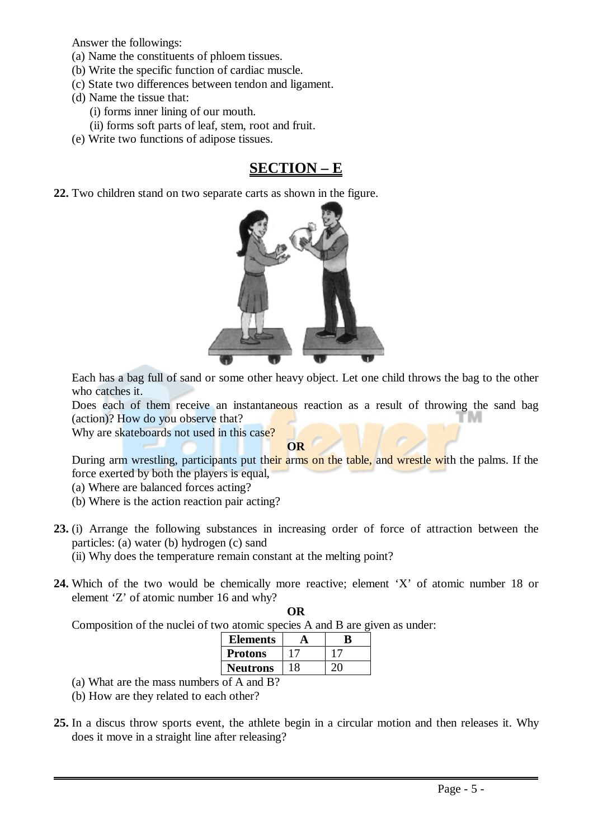Answer the followings:

- (a) Name the constituents of phloem tissues.
- (b) Write the specific function of cardiac muscle.
- (c) State two differences between tendon and ligament.
- (d) Name the tissue that:
	- (i) forms inner lining of our mouth.
	- (ii) forms soft parts of leaf, stem, root and fruit.
- (e) Write two functions of adipose tissues.

# **SECTION – E**

**22.** Two children stand on two separate carts as shown in the figure.



Each has a bag full of sand or some other heavy object. Let one child throws the bag to the other who catches it.

Does each of them receive an instantaneous reaction as a result of throwing the sand bag (action)? How do you observe that? 'N

Why are skateboards not used in this case?

**OR**

During arm wrestling, participants put their arms on the table, and wrestle with the palms. If the force exerted by both the players is equal,

- (a) Where are balanced forces acting?
- (b) Where is the action reaction pair acting?
- **23.** (i) Arrange the following substances in increasing order of force of attraction between the particles: (a) water (b) hydrogen (c) sand (ii) Why does the temperature remain constant at the melting point?
- **24.** Which of the two would be chemically more reactive; element 'X' of atomic number 18 or element 'Z' of atomic number 16 and why?

**OR**

Composition of the nuclei of two atomic species A and B are given as under:

| Elements       | K |
|----------------|---|
| <b>Protons</b> |   |
| Neutrons       |   |
|                |   |

- (a) What are the mass numbers of A and B?
- (b) How are they related to each other?
- **25.** In a discus throw sports event, the athlete begin in a circular motion and then releases it. Why does it move in a straight line after releasing?